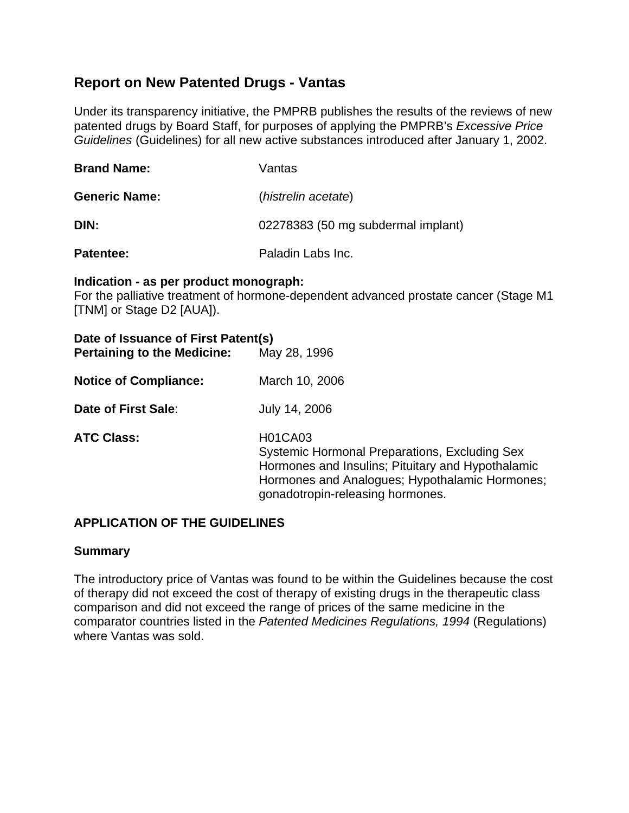# **Report on New Patented Drugs - Vantas**

Under its transparency initiative, the PMPRB publishes the results of the reviews of new patented drugs by Board Staff, for purposes of applying the PMPRB's *Excessive Price Guidelines* (Guidelines) for all new active substances introduced after January 1, 2002.

| <b>Brand Name:</b>   | Vantas                                                    |  |  |
|----------------------|-----------------------------------------------------------|--|--|
| <b>Generic Name:</b> | (histrelin acetate)<br>02278383 (50 mg subdermal implant) |  |  |
| DIN:                 |                                                           |  |  |
| <b>Patentee:</b>     | Paladin Labs Inc.                                         |  |  |

#### **Indication - as per product monograph:**

For the palliative treatment of hormone-dependent advanced prostate cancer (Stage M1 [TNM] or Stage D2 [AUA]).

## **Date of Issuance of First Patent(s) Pertaining to the Medicine:** May 28, 1996

**Notice of Compliance:** March 10, 2006

**Date of First Sale:** July 14, 2006

**ATC Class: H01CA03** 

Systemic Hormonal Preparations, Excluding Sex Hormones and Insulins; Pituitary and Hypothalamic Hormones and Analogues; Hypothalamic Hormones; gonadotropin-releasing hormones.

# **APPLICATION OF THE GUIDELINES**

### **Summary**

The introductory price of Vantas was found to be within the Guidelines because the cost of therapy did not exceed the cost of therapy of existing drugs in the therapeutic class comparison and did not exceed the range of prices of the same medicine in the comparator countries listed in the *Patented Medicines Regulations, 1994* (Regulations) where Vantas was sold.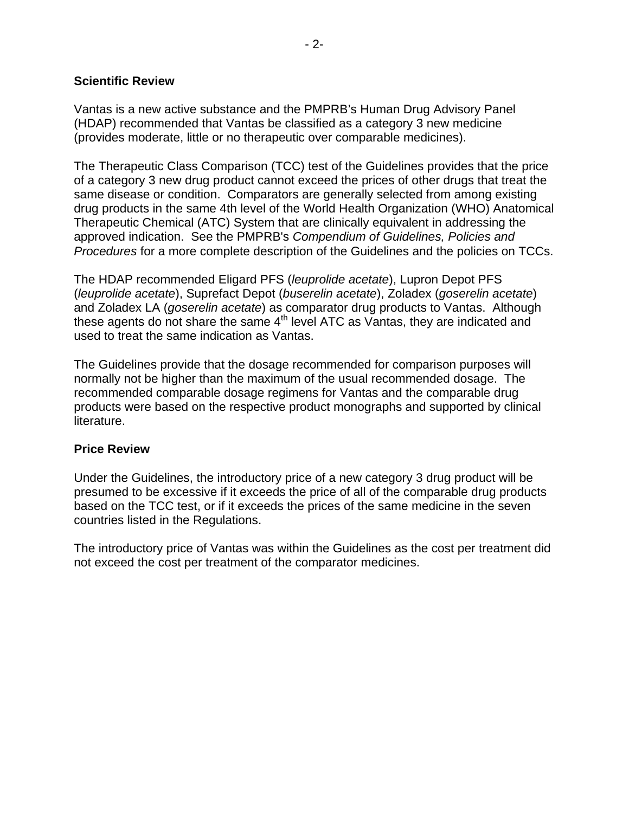#### **Scientific Review**

Vantas is a new active substance and the PMPRB's Human Drug Advisory Panel (HDAP) recommended that Vantas be classified as a category 3 new medicine (provides moderate, little or no therapeutic over comparable medicines).

The Therapeutic Class Comparison (TCC) test of the Guidelines provides that the price of a category 3 new drug product cannot exceed the prices of other drugs that treat the same disease or condition. Comparators are generally selected from among existing drug products in the same 4th level of the World Health Organization (WHO) Anatomical Therapeutic Chemical (ATC) System that are clinically equivalent in addressing the approved indication. See the PMPRB's *Compendium of Guidelines, Policies and Procedures* for a more complete description of the Guidelines and the policies on TCCs.

The HDAP recommended Eligard PFS (*leuprolide acetate*), Lupron Depot PFS (*leuprolide acetate*), Suprefact Depot (*buserelin acetate*), Zoladex (*goserelin acetate*) and Zoladex LA (*goserelin acetate*) as comparator drug products to Vantas. Although these agents do not share the same  $4<sup>th</sup>$  level ATC as Vantas, they are indicated and used to treat the same indication as Vantas.

The Guidelines provide that the dosage recommended for comparison purposes will normally not be higher than the maximum of the usual recommended dosage. The recommended comparable dosage regimens for Vantas and the comparable drug products were based on the respective product monographs and supported by clinical literature.

#### **Price Review**

Under the Guidelines, the introductory price of a new category 3 drug product will be presumed to be excessive if it exceeds the price of all of the comparable drug products based on the TCC test, or if it exceeds the prices of the same medicine in the seven countries listed in the Regulations.

The introductory price of Vantas was within the Guidelines as the cost per treatment did not exceed the cost per treatment of the comparator medicines.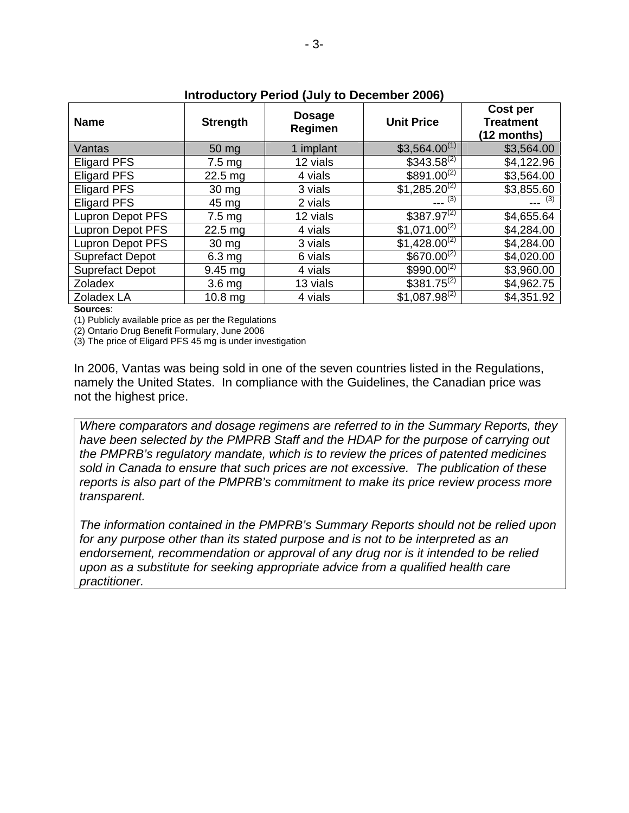| <b>Name</b>             | <b>Strength</b>    | <b>Dosage</b><br>Regimen | <b>Unit Price</b>           | Cost per<br><b>Treatment</b><br>(12 months) |
|-------------------------|--------------------|--------------------------|-----------------------------|---------------------------------------------|
| Vantas                  | 50 mg              | 1 implant                | $$3,564.00^{(1)}$           | \$3,564.00                                  |
| <b>Eligard PFS</b>      | $7.5 \text{ mg}$   | 12 vials                 | $$343.58^{(2)}$             | \$4,122.96                                  |
| <b>Eligard PFS</b>      | $22.5$ mg          | 4 vials                  | $$891.00^{(2)}$             | \$3,564.00                                  |
| <b>Eligard PFS</b>      | $30 \, mg$         | 3 vials                  | $$1,285.20^{(2)}$           | \$3,855.60                                  |
| <b>Eligard PFS</b>      | 45 mg              | 2 vials                  | $\overline{a}$ (3)          | $-$ (3)                                     |
| <b>Lupron Depot PFS</b> | $7.5 \text{ mg}$   | 12 vials                 | $$387.97^{(2)}$             | \$4,655.64                                  |
| <b>Lupron Depot PFS</b> | $22.5$ mg          | 4 vials                  | $$1,071.00^{(2)}$           | \$4,284.00                                  |
| Lupron Depot PFS        | 30 mg              | 3 vials                  | $$1,428.00^{(2)}$           | \$4,284.00                                  |
| <b>Suprefact Depot</b>  | 6.3 <sub>mg</sub>  | 6 vials                  | $$670.00^{(2)}$$            | \$4,020.00                                  |
| <b>Suprefact Depot</b>  | $9.45 \text{ mg}$  | 4 vials                  | $$990.00^{(2)}$             | \$3,960.00                                  |
| <b>Zoladex</b>          | 3.6 <sub>mg</sub>  | 13 vials                 | $$381.\overline{75}^{(2)}$$ | \$4,962.75                                  |
| Zoladex LA              | 10.8 <sub>mg</sub> | 4 vials                  | $$1,087.98^{(2)}$           | \$4,351.92                                  |

#### **Introductory Period (July to December 2006)**

#### **Sources**:

(1) Publicly available price as per the Regulations

(2) Ontario Drug Benefit Formulary, June 2006

(3) The price of Eligard PFS 45 mg is under investigation

In 2006, Vantas was being sold in one of the seven countries listed in the Regulations, namely the United States. In compliance with the Guidelines, the Canadian price was not the highest price.

*Where comparators and dosage regimens are referred to in the Summary Reports, they have been selected by the PMPRB Staff and the HDAP for the purpose of carrying out the PMPRB's regulatory mandate, which is to review the prices of patented medicines sold in Canada to ensure that such prices are not excessive. The publication of these reports is also part of the PMPRB's commitment to make its price review process more transparent.* 

*The information contained in the PMPRB's Summary Reports should not be relied upon for any purpose other than its stated purpose and is not to be interpreted as an endorsement, recommendation or approval of any drug nor is it intended to be relied upon as a substitute for seeking appropriate advice from a qualified health care practitioner.*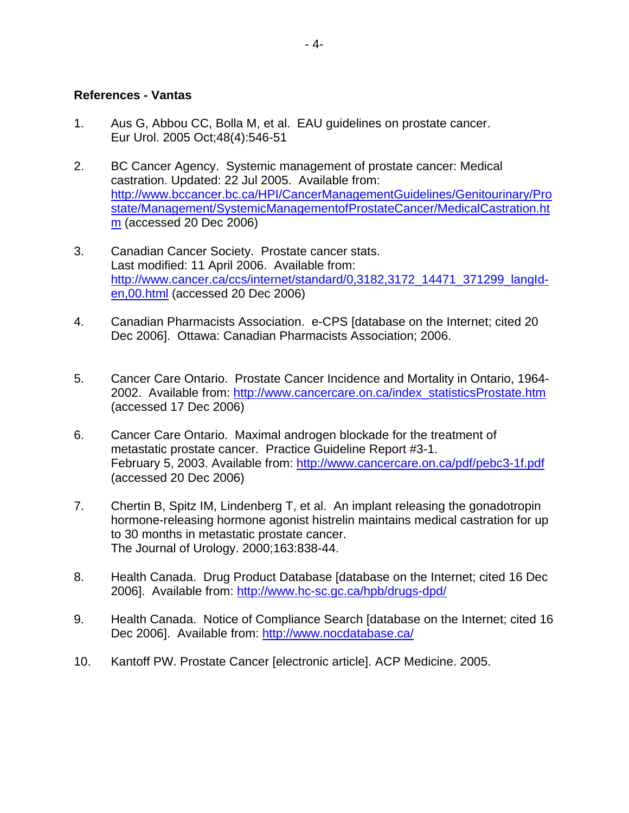#### **References - Vantas**

- 1. Aus G, Abbou CC, Bolla M, et al. EAU guidelines on prostate cancer. Eur Urol. 2005 Oct;48(4):546-51
- 2. BC Cancer Agency. Systemic management of prostate cancer: Medical castration. Updated: 22 Jul 2005. Available from: [http://www.bccancer.bc.ca/HPI/CancerManagementGuidelines/Genitourinary/Pro](http://www.bccancer.bc.ca/HPI/CancerManagementGuidelines/Genitourinary/Prostate/Management/SystemicManagementofProstateCancer/MedicalCastration.htm) [state/Management/SystemicManagementofProstateCancer/MedicalCastration.ht](http://www.bccancer.bc.ca/HPI/CancerManagementGuidelines/Genitourinary/Prostate/Management/SystemicManagementofProstateCancer/MedicalCastration.htm) [m](http://www.bccancer.bc.ca/HPI/CancerManagementGuidelines/Genitourinary/Prostate/Management/SystemicManagementofProstateCancer/MedicalCastration.htm) (accessed 20 Dec 2006)
- 3. Canadian Cancer Society. Prostate cancer stats. Last modified: 11 April 2006. Available from: [http://www.cancer.ca/ccs/internet/standard/0,3182,3172\\_14471\\_371299\\_langId](http://www.cancer.ca/ccs/internet/standard/0,3182,3172_14471_371299_langId-en,00.html)[en,00.html](http://www.cancer.ca/ccs/internet/standard/0,3182,3172_14471_371299_langId-en,00.html) (accessed 20 Dec 2006)
- 4. Canadian Pharmacists Association. e-CPS [database on the Internet; cited 20 Dec 2006]. Ottawa: Canadian Pharmacists Association; 2006.
- 5. Cancer Care Ontario. Prostate Cancer Incidence and Mortality in Ontario, 1964- 2002. Available from: [http://www.cancercare.on.ca/index\\_statisticsProstate.htm](http://www.cancercare.on.ca/index_statisticsProstate.htm) (accessed 17 Dec 2006)
- 6. Cancer Care Ontario. Maximal androgen blockade for the treatment of metastatic prostate cancer. Practice Guideline Report #3-1. February 5, 2003. Available from: <http://www.cancercare.on.ca/pdf/pebc3-1f.pdf> (accessed 20 Dec 2006)
- 7. Chertin B, Spitz IM, Lindenberg T, et al. An implant releasing the gonadotropin hormone-releasing hormone agonist histrelin maintains medical castration for up to 30 months in metastatic prostate cancer. The Journal of Urology. 2000;163:838-44.
- 8. Health Canada. Drug Product Database [database on the Internet; cited 16 Dec 2006]. Available from: <http://www.hc-sc.gc.ca/hpb/drugs-dpd/>
- 9. Health Canada. Notice of Compliance Search [database on the Internet; cited 16 Dec 2006]. Available from:<http://www.nocdatabase.ca/>
- 10. Kantoff PW. Prostate Cancer [electronic article]. ACP Medicine. 2005.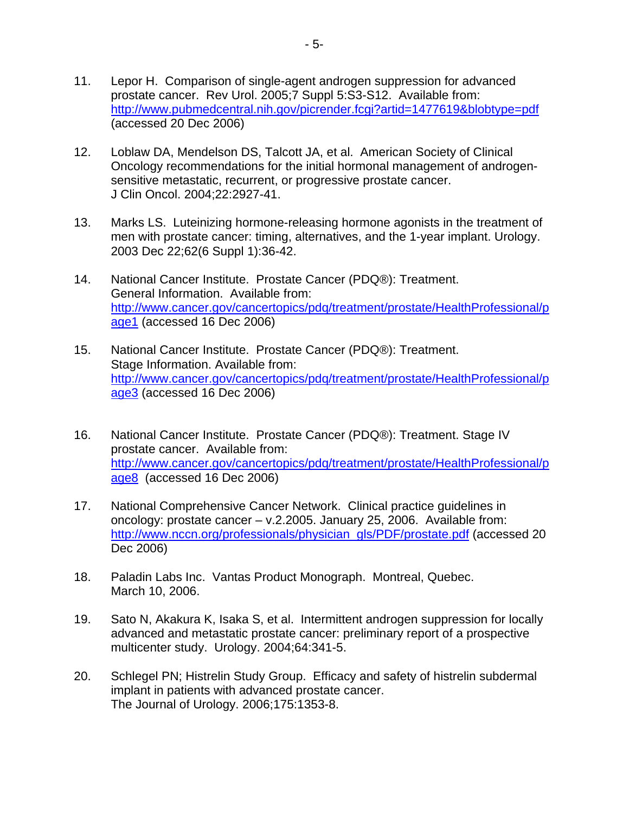- 11. Lepor H. Comparison of single-agent androgen suppression for advanced prostate cancer. Rev Urol. 2005;7 Suppl 5:S3-S12. Available from: <http://www.pubmedcentral.nih.gov/picrender.fcgi?artid=1477619&blobtype=pdf> (accessed 20 Dec 2006)
- 12. Loblaw DA, Mendelson DS, Talcott JA, et al. American Society of Clinical Oncology recommendations for the initial hormonal management of androgensensitive metastatic, recurrent, or progressive prostate cancer. J Clin Oncol. 2004;22:2927-41.
- 13. Marks LS. Luteinizing hormone-releasing hormone agonists in the treatment of men with prostate cancer: timing, alternatives, and the 1-year implant. Urology. 2003 Dec 22;62(6 Suppl 1):36-42.
- 14. National Cancer Institute. Prostate Cancer (PDQ®): Treatment. General Information. Available from: [http://www.cancer.gov/cancertopics/pdq/treatment/prostate/HealthProfessional/p](http://www.cancer.gov/cancertopics/pdq/treatment/prostate/HealthProfessional/page1) [age1](http://www.cancer.gov/cancertopics/pdq/treatment/prostate/HealthProfessional/page1) (accessed 16 Dec 2006)
- 15. National Cancer Institute. Prostate Cancer (PDQ®): Treatment. Stage Information. Available from: [http://www.cancer.gov/cancertopics/pdq/treatment/prostate/HealthProfessional/p](http://www.cancer.gov/cancertopics/pdq/treatment/prostate/HealthProfessional/page3) [age3](http://www.cancer.gov/cancertopics/pdq/treatment/prostate/HealthProfessional/page3) (accessed 16 Dec 2006)
- 16. National Cancer Institute. Prostate Cancer (PDQ®): Treatment. Stage IV prostate cancer. Available from: [http://www.cancer.gov/cancertopics/pdq/treatment/prostate/HealthProfessional/p](http://www.cancer.gov/cancertopics/pdq/treatment/prostate/HealthProfessional/page8) [age8](http://www.cancer.gov/cancertopics/pdq/treatment/prostate/HealthProfessional/page8) (accessed 16 Dec 2006)
- 17. National Comprehensive Cancer Network. Clinical practice guidelines in oncology: prostate cancer – v.2.2005. January 25, 2006. Available from: [http://www.nccn.org/professionals/physician\\_gls/PDF/prostate.pdf](http://www.nccn.org/professionals/physician_gls/PDF/prostate.pdf) (accessed 20 Dec 2006)
- 18. Paladin Labs Inc. Vantas Product Monograph. Montreal, Quebec. March 10, 2006.
- 19. Sato N, Akakura K, Isaka S, et al. Intermittent androgen suppression for locally advanced and metastatic prostate cancer: preliminary report of a prospective multicenter study. Urology. 2004;64:341-5.
- 20. Schlegel PN; Histrelin Study Group. Efficacy and safety of histrelin subdermal implant in patients with advanced prostate cancer. The Journal of Urology. 2006;175:1353-8.